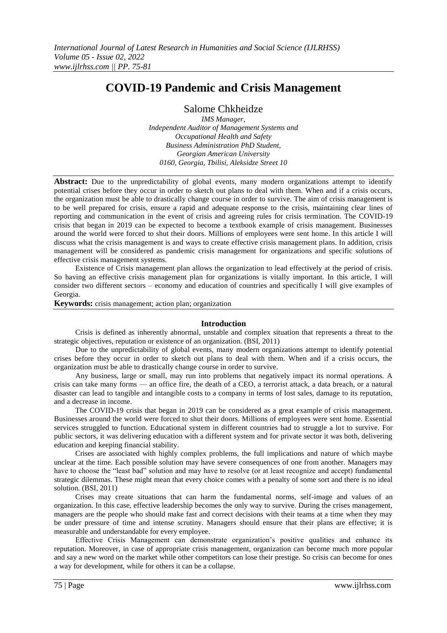# **COVID-19 Pandemic and Crisis Management**

Salome Chkheidze

*IMS Manager, Independent Auditor of Management Systems and Occupational Health and Safety Business Administration PhD Student, Georgian American University 0160, Georgia, Tbilisi, Aleksidze Street 10*

**Abstract:** Due to the unpredictability of global events, many modern organizations attempt to identify potential crises before they occur in order to sketch out plans to deal with them. When and if a crisis occurs, the organization must be able to drastically change course in order to survive. The aim of crisis management is to be well prepared for crisis, ensure a rapid and adequate response to the crisis, maintaining clear lines of reporting and communication in the event of crisis and agreeing rules for crisis termination. The COVID-19 crisis that began in 2019 can be expected to become a textbook example of crisis management. Businesses around the world were forced to shut their doors. Millions of employees were sent home. In this article I will discuss what the crisis management is and ways to create effective crisis management plans. In addition, crisis management will be considered as pandemic crisis management for organizations and specific solutions of effective crisis management systems.

Existence of Crisis management plan allows the organization to lead effectively at the period of crisis. So having an effective crisis management plan for organizations is vitally important. In this article, I will consider two different sectors – economy and education of countries and specifically I will give examples of Georgia.

**Keywords:** crisis management; action plan; organization

#### **Introduction**

Crisis is defined as inherently abnormal, unstable and complex situation that represents a threat to the strategic objectives, reputation or existence of an organization. (BSI, 2011)

Due to the unpredictability of global events, many modern organizations attempt to identify potential crises before they occur in order to sketch out plans to deal with them. When and if a crisis occurs, the organization must be able to drastically change course in order to survive.

Any business, large or small, may run into problems that negatively impact its normal operations. A crisis can take many forms — an office fire, the death of a CEO, a terrorist attack, a [data breach,](https://www.investopedia.com/terms/d/data-breach.asp) or a natural disaster can lead to tangible and [intangible costs](https://www.investopedia.com/terms/i/intangiblecost.asp) to a company in terms of lost sales, damage to its reputation, and a decrease in income.

The COVID-19 crisis that began in 2019 can be considered as a great example of crisis management. Businesses around the world were forced to shut their doors. Millions of employees were sent home. Essential services struggled to function. Educational system in different countries had to struggle a lot to survive. For public sectors, it was delivering education with a different system and for private sector it was both, delivering education and keeping financial stability.

Crises are associated with highly complex problems, the full implications and nature of which maybe unclear at the time. Each possible solution may have severe consequences of one from another. Managers may have to choose the "least bad" solution and may have to resolve (or at least recognize and accept) fundamental strategic dilemmas. These might mean that every choice comes with a penalty of some sort and there is no ideal solution. (BSI, 2011)

Crises may create situations that can harm the fundamental norms, self-image and values of an organization. In this case, effective leadership becomes the only way to survive. During the crises management, managers are the people who should make fast and correct decisions with their teams at a time when they may be under pressure of time and intense scrutiny. Managers should ensure that their plans are effective; it is measurable and understandable for every employee.

Effective Crisis Management can demonstrate organization's positive qualities and enhance its reputation. Moreover, in case of appropriate crisis management, organization can become much more popular and say a new word on the market while other competitors can lose their prestige. So crisis can become for ones a way for development, while for others it can be a collapse.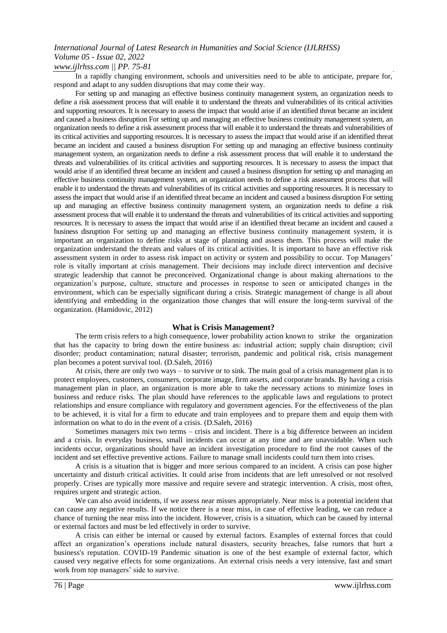*www.ijlrhss.com || PP. 75-81*

In a rapidly changing environment, schools and universities need to be able to anticipate, prepare for, respond and adapt to any sudden disruptions that may come their way.

For setting up and managing an effective business continuity management system, an organization needs to define a risk assessment process that will enable it to understand the threats and vulnerabilities of its critical activities and supporting resources. It is necessary to assess the impact that would arise if an identified threat became an incident and caused a business disruption For setting up and managing an effective business continuity management system, an organization needs to define a risk assessment process that will enable it to understand the threats and vulnerabilities of its critical activities and supporting resources. It is necessary to assess the impact that would arise if an identified threat became an incident and caused a business disruption For setting up and managing an effective business continuity management system, an organization needs to define a risk assessment process that will enable it to understand the threats and vulnerabilities of its critical activities and supporting resources. It is necessary to assess the impact that would arise if an identified threat became an incident and caused a business disruption for setting up and managing an effective business continuity management system, an organization needs to define a risk assessment process that will enable it to understand the threats and vulnerabilities of its critical activities and supporting resources. It is necessary to assess the impact that would arise if an identified threat became an incident and caused a business disruption For setting up and managing an effective business continuity management system, an organization needs to define a risk assessment process that will enable it to understand the threats and vulnerabilities of its critical activities and supporting resources. It is necessary to assess the impact that would arise if an identified threat became an incident and caused a business disruption For setting up and managing an effective business continuity management system, it is important an organization to define risks at stage of planning and assess them. This process will make the organization understand the threats and values of its critical activities. It is important to have an effective risk assessment system in order to assess risk impact on activity or system and possibility to occur. Top Managers' role is vitally important at crisis management. Their decisions may include direct intervention and decisive strategic leadership that cannot be preconceived. Organizational change is about making alternations to the organization's purpose, culture, structure and processes in response to seen or anticipated changes in the environment, which can be especially significant during a crisis. Strategic management of change is all about identifying and embedding in the organization those changes that will ensure the long-term survival of the organization. (Hamidovic, 2012)

#### **What is Crisis Management?**

The term crisis refers to a high consequence, lower probability action known to strike the organization that has the capacity to bring down the entire business as: industrial action; supply chain disruption; civil disorder; product contamination; natural disaster; terrorism, pandemic and political risk, crisis management plan becomes a potent survival tool. (D.Saleh, 2016)

At crisis, there are only two ways – to survive or to sink. The main goal of a crisis management plan is to protect employees, customers, consumers, corporate image, firm assets, and corporate brands. By having a crisis management plan in place, an organization is more able to take the necessary actions to minimize loses in business and reduce risks. The plan should have references to the applicable laws and regulations to protect relationships and ensure compliance with regulatory and government agencies. For the effectiveness of the plan to be achieved, it is vital for a firm to educate and train employees and to prepare them and equip them with information on what to do in the event of a crisis. (D.Saleh, 2016)

Sometimes managers mix two terms – crisis and incident. There is a big difference between an incident and a crisis. In everyday business, small incidents can occur at any time and are unavoidable. When such incidents occur, organizations should have an incident investigation procedure to find the root causes of the incident and set effective preventive actions. Failure to manage small incidents could turn them into crises.

A crisis is a situation that is bigger and more serious compared to an incident. A crisis can pose higher uncertainty and disturb critical activities. It could arise from incidents that are left unresolved or not resolved properly. Crises are typically more massive and require severe and strategic intervention. A crisis, most often, requires urgent and strategic action.

We can also avoid incidents, if we assess near misses appropriately. Near miss is a potential incident that can cause any negative results. If we notice there is a near miss, in case of effective leading, we can reduce a chance of turning the near miss into the incident. However, crisis is a situation, which can be caused by internal or external factors and must be led effectively in order to survive.

A crisis can either be internal or caused by external factors. Examples of external forces that could affect an organization's operations include natural disasters, security breaches, false rumors that hurt a business's reputation. COVID-19 Pandemic situation is one of the best example of external factor, which caused very negative effects for some organizations. An external crisis needs a very intensive, fast and smart work from top managers' side to survive.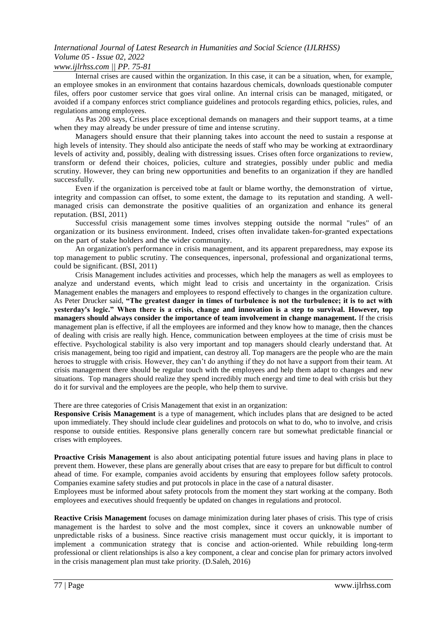### *www.ijlrhss.com || PP. 75-81*

Internal crises are caused within the organization. In this case, it can be a situation, when, for example, an employee smokes in an environment that contains hazardous chemicals, downloads questionable computer files, offers poor customer service that goes viral online. An internal crisis can be managed, mitigated, or avoided if a company enforces strict compliance guidelines and protocols regarding ethics, policies, rules, and regulations among employees.

As Pas 200 says, Crises place exceptional demands on managers and their support teams, at a time when they may already be under pressure of time and intense scrutiny.

Managers should ensure that their planning takes into account the need to sustain a response at high levels of intensity. They should also anticipate the needs of staff who may be working at extraordinary levels of activity and, possibly, dealing with distressing issues. Crises often force organizations to review, transform or defend their choices, policies, culture and strategies, possibly under public and media scrutiny. However, they can bring new opportunities and benefits to an organization if they are handled successfully.

Even if the organization is perceived tobe at fault or blame worthy, the demonstration of virtue, integrity and compassion can offset, to some extent, the damage to its reputation and standing. A wellmanaged crisis can demonstrate the positive qualities of an organization and enhance its general reputation. (BSI, 2011)

Successful crisis management some times involves stepping outside the normal "rules" of an organization or its business environment. Indeed, crises often invalidate taken-for-granted expectations on the part of stake holders and the wider community.

An organization's performance in crisis management, and its apparent preparedness, may expose its top management to public scrutiny. The consequences, inpersonal, professional and organizational terms, could be significant. (BSI, 2011)

Crisis Management includes activities and processes, which help the managers as well as employees to analyze and understand events, which might lead to crisis and uncertainty in the organization. Crisis Management enables the managers and employees to respond effectively to changes in the organization culture. As Peter Drucker said, **"The greatest danger in times of turbulence is not the turbulence; it is to act with yesterday's logic." When there is a crisis, change and innovation is a step to survival. However, top managers should always consider the importance of team involvement in change management.** If the crisis management plan is effective, if all the employees are informed and they know how to manage, then the chances of dealing with crisis are really high. Hence, communication between employees at the time of crisis must be effective. Psychological stability is also very important and top managers should clearly understand that. At crisis management, being too rigid and impatient, can destroy all. Top managers are the people who are the main heroes to struggle with crisis. However, they can't do anything if they do not have a support from their team. At crisis management there should be regular touch with the employees and help them adapt to changes and new situations. Top managers should realize they spend incredibly much energy and time to deal with crisis but they do it for survival and the employees are the people, who help them to survive.

There are three categories of Crisis Management that exist in an organization:

**Responsive Crisis Management** is a type of management, which includes plans that are designed to be acted upon immediately. They should include clear guidelines and protocols on what to do, who to involve, and crisis response to outside entities. Responsive plans generally concern rare but somewhat predictable financial or crises with employees.

**Proactive Crisis Management** is also about anticipating potential future issues and having plans in place to prevent them. However, these plans are generally about crises that are easy to prepare for but difficult to control ahead of time. For example, companies avoid accidents by ensuring that employees follow safety protocols. Companies examine safety studies and put protocols in place in the case of a natural disaster.

Employees must be informed about safety protocols from the moment they start working at the company. Both employees and executives should frequently be updated on changes in regulations and protocol.

**Reactive Crisis [Management](https://careertrend.com/facts-5880200-proactive-vs--reactive-management.html)** focuses on damage minimization during later phases of crisis. This type of crisis management is the hardest to solve and the most complex, since it covers an unknowable number of unpredictable risks of a business. Since reactive crisis management must occur quickly, it is important to implement a communication strategy that is concise and action-oriented. While rebuilding long-term professional or client relationships is also a key component, a clear and concise plan for primary actors involved in the crisis management plan must take priority. (D.Saleh, 2016)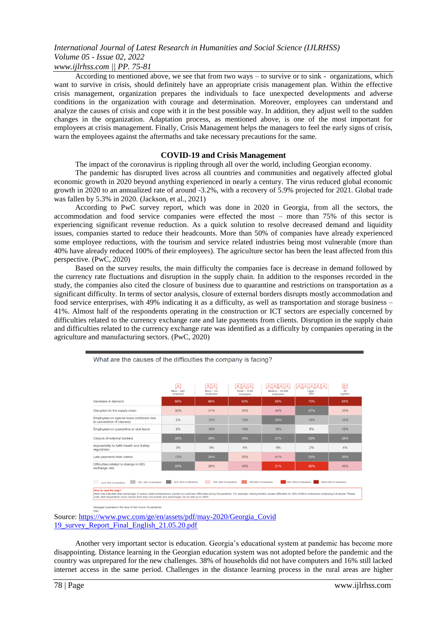*www.ijlrhss.com || PP. 75-81*

According to mentioned above, we see that from two ways – to survive or to sink - organizations, which want to survive in crisis, should definitely have an appropriate crisis management plan. Within the effective crisis management, organization prepares the individuals to face unexpected developments and adverse conditions in the organization with courage and determination. Moreover, employees can understand and analyze the causes of crisis and cope with it in the best possible way. In addition, they adjust well to the sudden changes in the organization. Adaptation process, as mentioned above, is one of the most important for employees at crisis management. Finally, Crisis Management helps the managers to feel the early signs of crisis, warn the employees against the aftermaths and take necessary precautions for the same.

#### **COVID-19 and Crisis Management**

The impact of the coronavirus is rippling through all over the world, including Georgian economy.

The pandemic has disrupted lives across all countries and communities and negatively affected global economic growth in 2020 beyond anything experienced in nearly a century. The virus reduced global economic growth in 2020 to an annualized rate of around -3.2%, with a recovery of 5.9% projected for 2021. Global trade was fallen by 5.3% in 2020. (Jackson, et al., 2021)

According to PwC survey report, which was done in 2020 in Georgia, from all the sectors, the accommodation and food service companies were effected the most – more than 75% of this sector is experiencing significant revenue reduction. As a quick solution to resolve decreased demand and liquidity issues, companies started to reduce their headcounts. More than 50% of companies have already experienced some employee reductions, with the tourism and service related industries being most vulnerable (more than 40% have already reduced 100% of their employees). The agriculture sector has been the least affected from this perspective. (PwC, 2020)

Based on the survey results, the main difficulty the companies face is decrease in demand followed by the currency rate fluctuations and disruption in the supply chain. In addition to the responses recorded in the study, the companies also cited the closure of business due to quarantine and restrictions on transportation as a significant difficulty. In terms of sector analysis, closure of external borders disrupts mostly accommodation and food service enterprises, with 49% indicating it as a difficulty, as well as transportation and storage business – 41%. Almost half of the respondents operating in the construction or ICT sectors are especially concerned by difficulties related to the currency exchange rate and late payments from clients. Disruption in the supply chain and difficulties related to the currency exchange rate was identified as a difficulty by companies operating in the agriculture and manufacturing sectors. (PwC, 2020)

|                                                                                                                                                                                                                                                                                                                                                           | 凨<br>Micro - self-<br>employed | $\mathbb{R} \mathbb{R}$<br>$Micro - 2-9$<br>employees | $\boxtimes$ $\boxtimes$<br>$Small - 10-49$<br>employees | $A \  A \  A \  A$<br>Medium $-50-249$<br>employees | A  A  A  A A <br>$Large -$<br>250 | ৰ্ভ<br>All<br>together |
|-----------------------------------------------------------------------------------------------------------------------------------------------------------------------------------------------------------------------------------------------------------------------------------------------------------------------------------------------------------|--------------------------------|-------------------------------------------------------|---------------------------------------------------------|-----------------------------------------------------|-----------------------------------|------------------------|
| Decrease in demand                                                                                                                                                                                                                                                                                                                                        | 66%                            | 66%                                                   | 60%                                                     | 69%                                                 | 70%                               | 65%                    |
| Disruption in the supply chain                                                                                                                                                                                                                                                                                                                            | 30%                            | 31%                                                   | 35%                                                     | 40%                                                 | 27%                               | 33%                    |
| Employees on special leave (childcare due<br>to cancelation of classes)                                                                                                                                                                                                                                                                                   | 2%                             | 13%                                                   | 15%                                                     | 20%                                                 | 16%                               | 12%                    |
| Employees on quarantine or sick leave                                                                                                                                                                                                                                                                                                                     | 5%                             | 16%                                                   | 19%                                                     | 18%                                                 | 9%                                | 15%                    |
| <b>Closure of external borders</b>                                                                                                                                                                                                                                                                                                                        | 28%                            | 29%                                                   | 26%                                                     | 27%                                                 | 23%                               | 28%                    |
| Impossibility to fulfill Health and Safety<br>regulations                                                                                                                                                                                                                                                                                                 | 3%                             | 5%                                                    | 4%                                                      | 6%                                                  | 2%                                | 4%                     |
| Late payments from clients                                                                                                                                                                                                                                                                                                                                | 15%                            | 24%                                                   | 30%                                                     | 41%                                                 | 25%                               | 26%                    |
| Difficulties related to change in GEL<br>exchange rate                                                                                                                                                                                                                                                                                                    | 29%                            | 39%                                                   | 46%                                                     | 51%                                                 | 50%                               | 40%                    |
| 50% -60% of indications<br>20% -30% of indications<br>30% -40% of indications<br>40%-50% of indications<br>Above 60% of indications<br>10% -20% of indications<br>a sa<br>Up to 10% of indications                                                                                                                                                        |                                |                                                       |                                                         |                                                     |                                   |                        |
| How to read the map?<br>Heat map indicates what percentage of various sized entrepreneurs pointed out particular difficulties during the pandemic. For example: closing borders caused difficulties for 29% of Micro enterprises employing 2-9 people.<br>note. that respondents could choose more than one answer and nercentages do not add up to 100%. |                                |                                                       |                                                         |                                                     |                                   |                        |

ness in the face of the Covid-19 pan

Source: [https://www.pwc.com/ge/en/assets/pdf/may-2020/Georgia\\_Covid](https://www.pwc.com/ge/en/assets/pdf/may-2020/Georgia_Covid%2019_survey_Report_Final_English_21.05.20.pdf)  [19\\_survey\\_Report\\_Final\\_English\\_21.05.20.pdf](https://www.pwc.com/ge/en/assets/pdf/may-2020/Georgia_Covid%2019_survey_Report_Final_English_21.05.20.pdf)

What are the causes of the difficulties the company is facing?

Another very important sector is education. Georgia's educational system at pandemic has become more disappointing. Distance learning in the Georgian education system was not adopted before the pandemic and the country was unprepared for the new challenges. 38% of households did not have computers and 16% still lacked internet access in the same period. Challenges in the distance learning process in the rural areas are higher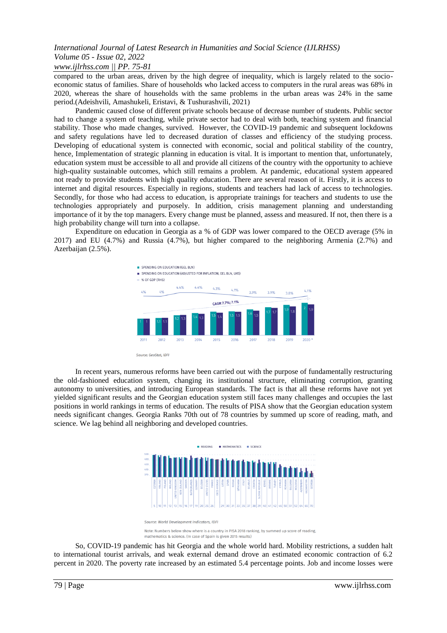#### *www.ijlrhss.com || PP. 75-81*

compared to the urban areas, driven by the high degree of inequality, which is largely related to the socioeconomic status of families. Share of households who lacked access to computers in the rural areas was 68% in 2020, whereas the share of households with the same problems in the urban areas was 24% in the same period.(Adeishvili, Amashukeli, Eristavi, & Tushurashvili, 2021)

Pandemic caused close of different private schools because of decrease number of students. Public sector had to change a system of teaching, while private sector had to deal with both, teaching system and financial stability. Those who made changes, survived. However, the COVID-19 pandemic and subsequent lockdowns and safety regulations have led to decreased duration of classes and efficiency of the studying process. Developing of educational system is connected with economic, social and political stability of the country, hence, Implementation of strategic planning in education is vital. It is important to mention that, unfortunately, education system must be accessible to all and provide all citizens of the country with the opportunity to achieve high-quality sustainable outcomes, which still remains a problem. At pandemic, educational system appeared not ready to provide students with high quality education. There are several reason of it. Firstly, it is access to internet and digital resources. Especially in regions, students and teachers had lack of access to technologies. Secondly, for those who had access to education, is appropriate trainings for teachers and students to use the technologies appropriately and purposely. In addition, crisis management planning and understanding importance of it by the top managers. Every change must be planned, assess and measured. If not, then there is a high probability change will turn into a collapse.

Expenditure on education in Georgia as a % of GDP was lower compared to the OECD average (5% in 2017) and EU (4.7%) and Russia (4.7%), but higher compared to the neighboring Armenia (2.7%) and Azerbaijan (2.5%).



Source: GeoStat, IDF

In recent years, numerous reforms have been carried out with the purpose of fundamentally restructuring the old-fashioned education system, changing its institutional structure, eliminating corruption, granting autonomy to universities, and introducing European standards. The fact is that all these reforms have not yet yielded significant results and the Georgian education system still faces many challenges and occupies the last positions in world rankings in terms of education. The results of PISA show that the Georgian education system needs significant changes. Georgia Ranks 70th out of 78 countries by summed up score of reading, math, and science. We lag behind all neighboring and developed countries.



Note: Numbers below show where is a country in PISA 2018 ranking, by summed up score of reading mathematics & science. (In case of Spain is given 2015 results)

So, COVID-19 pandemic has hit Georgia and the whole world hard. Mobility restrictions, a sudden halt to international tourist arrivals, and weak external demand drove an estimated economic contraction of 6.2 percent in 2020. The poverty rate increased by an estimated 5.4 percentage points. Job and income losses were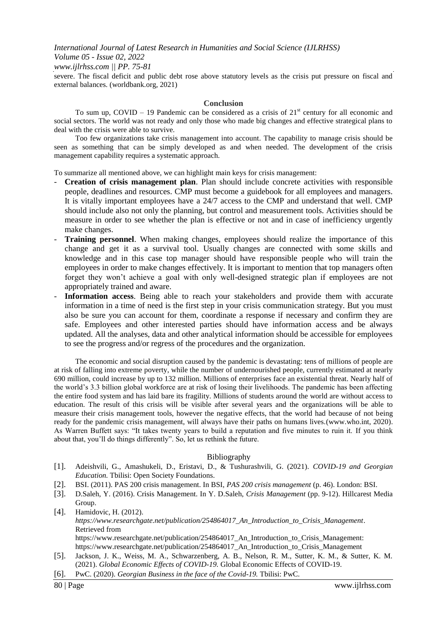*www.ijlrhss.com || PP. 75-81*

severe. The fiscal deficit and public debt rose above statutory levels as the crisis put pressure on fiscal and external balances. (worldbank.org, 2021)

#### **Conclusion**

To sum up, COVID – 19 Pandemic can be considered as a crisis of  $21<sup>st</sup>$  century for all economic and social sectors. The world was not ready and only those who made big changes and effective strategical plans to deal with the crisis were able to survive.

Too few organizations take crisis management into account. The capability to manage crisis should be seen as something that can be simply developed as and when needed. The development of the crisis management capability requires a systematic approach.

To summarize all mentioned above, we can highlight main keys for crisis management:

- **Creation of crisis management plan**. Plan should include concrete activities with responsible people, deadlines and resources. CMP must become a guidebook for all employees and managers. It is vitally important employees have a 24/7 access to the CMP and understand that well. CMP should include also not only the planning, but control and measurement tools. Activities should be measure in order to see whether the plan is effective or not and in case of inefficiency urgently make changes.
- **Training personnel**. When making changes, employees should realize the importance of this change and get it as a survival tool. Usually changes are connected with some skills and knowledge and in this case top manager should have responsible people who will train the employees in order to make changes effectively. It is important to mention that top managers often forget they won't achieve a goal with only well-designed strategic plan if employees are not appropriately trained and aware.
- Information access. Being able to reach your stakeholders and provide them with accurate information in a time of need is the first step in your crisis communication strategy. But you must also be sure you can account for them, coordinate a response if necessary and confirm they are safe. Employees and other interested parties should have information access and be always updated. All the analyses, data and other analytical information should be accessible for employees to see the progress and/or regress of the procedures and the organization.

The economic and social disruption caused by the pandemic is devastating: tens of millions of people are at risk of falling into extreme poverty, while the number of undernourished people, currently estimated at nearly 690 million, could increase by up to 132 million. Millions of enterprises face an existential threat. Nearly half of the world's 3.3 billion global workforce are at risk of losing their livelihoods. The pandemic has been affecting the entire food system and has laid bare its fragility. Millions of students around the world are without access to education. The result of this crisis will be visible after several years and the organizations will be able to measure their crisis management tools, however the negative effects, that the world had because of not being ready for the pandemic crisis management, will always have their paths on humans lives.(www.who.int, 2020). As Warren Buffett says: "It takes twenty years to build a reputation and five minutes to ruin it. If you think about that, you'll do things differently". So, let us rethink the future.

#### Bibliography

- [1]. Adeishvili, G., Amashukeli, D., Eristavi, D., & Tushurashvili, G. (2021). *COVID-19 and Georgian Education.* Tbilisi: Open Society Foundations.
- [2]. BSI. (2011). PAS 200 crisis management. In BSI, *PAS 200 crisis management* (p. 46). London: BSI.
- [3]. D.Saleh, Y. (2016). Crisis Management. In Y. D.Saleh, *Crisis Management* (pp. 9-12). Hillcarest Media Group.
- [4]. Hamidovic, H. (2012). *https://www.researchgate.net/publication/254864017\_An\_Introduction\_to\_Crisis\_Management*. Retrieved from https://www.researchgate.net/publication/254864017 An Introduction to Crisis Management: https://www.researchgate.net/publication/254864017\_An\_Introduction\_to\_Crisis\_Management
- [5]. Jackson, J. K., Weiss, M. A., Schwarzenberg, A. B., Nelson, R. M., Sutter, K. M., & Sutter, K. M. (2021). *Global Economic Effects of COVID-19.* Global Economic Effects of COVID-19.
- [6]. PwC. (2020). *Georgian Business in the face of the Covid-19.* Tbilisi: PwC.